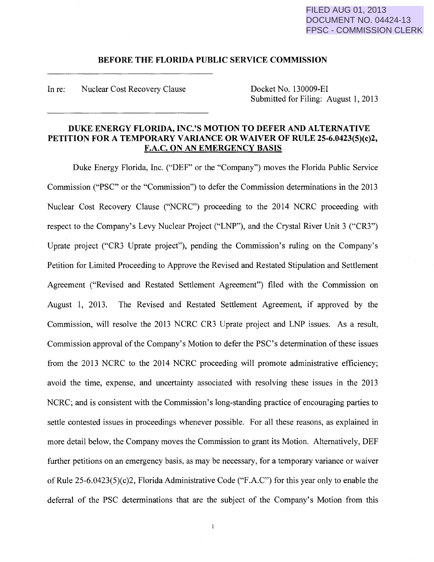# FILED AUG 01, 2013 DOCUMENT NO. 04424-13 FPSC - COMMISSION CLERK

### **BEFORE THE FLORIDA PUBLIC SERVICE COMMISSION**

In re: Nuclear Cost Recovery Clause Docket No. 130009-EI

Submitted for Filing: August 1, 2013

## **DUKE ENERGY FLORIDA, INC.'S MOTION TO DEFER AND ALTERNATIVE PETITION FOR A TEMPORARY VARIANCE OR WAIVER OF RULE 25-6.0423(5)(c)2, F.A.C. ON AN EMERGENCY BASIS**

Duke Energy Florida, Inc. ("DEF" or the "Company") moves the Florida Public Service Commission ("PSC" or the "Commission") to defer the Commission determinations in the 2013 Nuclear Cost Recovery Clause ("NCRC") proceeding to the 2014 NCRC proceeding with respect to the Company's Levy Nuclear Project ("LNP"), and the Crystal River Unit 3 ("CR3") Uprate project ("CR3 Uprate project"), pending the Commission's ruling on the Company's Petition for Limited Proceeding to Approve the Revised and Restated Stipulation and Settlement Agreement ("Revised and Restated Settlement Agreement") filed with the Commission on August 1, 2013. The Revised and Restated Settlement Agreement, if approved by the Commission, will resolve the 2013 NCRC CR3 Uprate project and LNP issues. As a result, Commission approval of the Company's Motion to defer the PSC's determination of these issues from the 2013 NCRC to the 2014 NCRC proceeding will promote administrative efficiency; avoid the time, expense, and uncertainty associated with resolving these issues in the 2013 NCRC; and is consistent with the Commission's long-standing practice of encouraging parties to settle contested issues in proceedings whenever possible. For all these reasons, as explained in more detail below, the Company moves the Commission to grant its Motion. Alternatively, DEF further petitions on an emergency basis, as may be necessary, for a temporary variance or waiver of Rule 25-6.0423(5)(c)2, Florida Administrative Code ("F.A.C") for this year only to enable the deferral of the PSC determinations that are the subject of the Company's Motion from this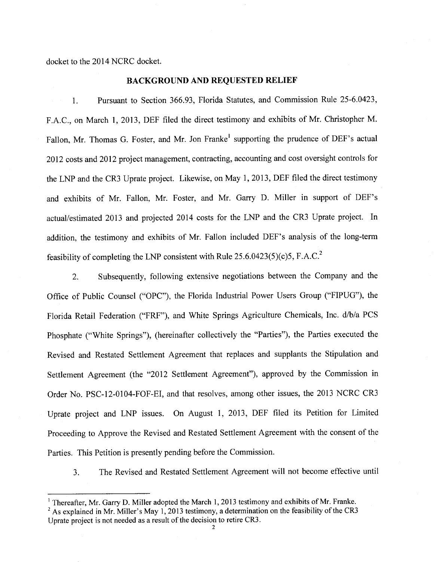docket to the 2014 NCRC docket.

### **BACKGROUND AND REQUESTED RELIEF**

1. Pursuant to Section 366.93, Florida Statutes, and Commission Rule 25-6.0423, F.A.C., on March 1, 2013, DEF filed the direct testimony and exhibits of Mr. Christopher M. Fallon, Mr. Thomas G. Foster, and Mr. Jon Franke<sup>1</sup> supporting the prudence of DEF's actual 2012 costs and 2012 project management, contracting, accounting and cost oversight controls for the LNP and the CR3 Uprate project. Likewise, on May 1, 2013, DEF filed the direct testimony and exhibits of Mr. Fallon, Mr. Foster, and Mr. Garry D. Miller in support of DEF's actual/estimated 2013 and projected 2014 costs for the LNP and the CR3 Uprate project. In addition, the testimony and exhibits of Mr. Fallon included DEF's analysis of the long-term feasibility of completing the LNP consistent with Rule  $25.6.0423(5)(c)5$ , F.A.C.<sup>2</sup>

2. Subsequently, following extensive negotiations between the Company and the Office of Public Counsel ("OPC"), the Florida Industrial Power Users Group ("FIPUG"), the Florida Retail Federation ("FRF"), and White Springs Agriculture Chemicals, Inc. d/b/a PCS Phosphate ("White Springs"), (hereinafter collectively the "Parties"), the Parties executed the Revised and Restated Settlement Agreement that replaces and supplants the Stipulation and Settlement Agreement (the "2012 Settlement Agreement"), approved by the Commission in Order No. PSC-12-0104-FOF-EI, and that resolves, among other issues, the 2013 NCRC CR3 Uprate project and LNP issues. On August 1, 2013, DEF filed its Petition for Limited Proceeding to Approve the Revised and Restated Settlement Agreement with the consent of the Parties. This Petition is presently pending before the Commission.

3. The Revised and Restated Settlement Agreement will not become effective until

<sup>&</sup>lt;sup>1</sup> Thereafter, Mr. Garry D. Miller adopted the March 1, 2013 testimony and exhibits of Mr. Franke.

<sup>&</sup>lt;sup>2</sup> As explained in Mr. Miller's May 1, 2013 testimony, a determination on the feasibility of the CR3 Uprate project is not needed as a result of the decision to retire CR3.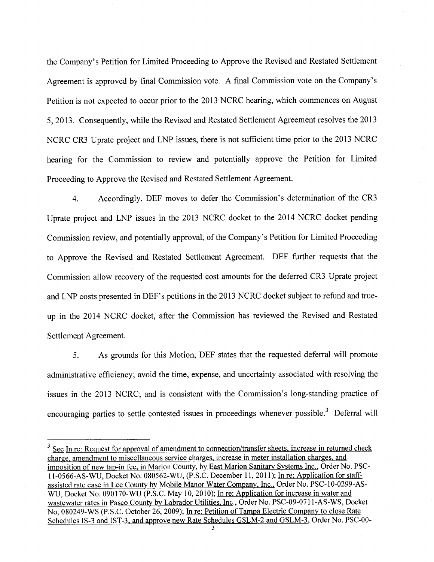the Company's Petition for Limited Proceeding to Approve the Revised and Restated Settlement Agreement is approved by final Commission vote. A final Commission vote on the Company's Petition is not expected to occur prior to the 2013 NCRC hearing, which commences on August 5, 2013. Consequently, while the Revised and Restated Settlement Agreement resolves the <sup>2013</sup> NCRC CR3 Uprate project and LNP issues, there is not sufficient time prior to the 2013 NCRC hearing for the Commission to review and potentially approve the Petition for Limited Proceeding to Approve the Revised and Restated Settlement Agreement.

4. Accordingly, DEF moves to defer the Commission's determination of the CR3 Uprate project and LNP issues in the 2013 NCRC docket to the 2014 NCRC docket pending Commission review, and potentially approval, of the Company's Petition for Limited Proceeding to Approve the Revised and Restated Settlement Agreement. DEF further requests that the Commission allow recovery of the requested cost amounts for the deferred CR3 Uprate project and LNP costs presented in DEF's petitions in the 2013 NCRC docket subject to refund and trueup in the 2014 NCRC docket, after the Commission has reviewed the Revised and Restated Settlement Agreement.

5. As grounds for this Motion, DEF states that the requested deferral will promote administrative efficiency; avoid the time, expense, and uncertainty associated with resolving the issues in the 2013 NCRC; and is consistent with the Commission's long-standing practice of encouraging parties to settle contested issues in proceedings whenever possible.<sup>3</sup> Deferral will

 $3$  See In re: Request for approval of amendment to connection/transfer sheets, increase in returned check charge, amendment to miscellaneous service charges, increase in meter installation charges, and imposition of new tap-in fee, in Marion County, by East Marion Sanitary Systems Inc., Order No. PSC-11-0566-AS-WU, Docket No. 080562-WU, (P.S.C. December 11, 2011); In re; Application for staffassisted rate case in Lee County by Mobile Manor Water Company, Inc., Order No. PSC-10-0299-AS-WU, Docket No. 090170-WU (P.S.C. May 10, 2010); In re: Application for increase in water and wastewater rates in Pasco County by Labrador Utilities, Inc., Order No. PSC-09-0711-AS-WS, Docket No, 080249-WS (P.S.C. October 26, 2009); In re: Petition of Tampa Electric Company to close Rate Schedules IS-3 and IST-3, and approve new Rate Schedules GSLM-2 and GSLM-3, Order No. PSC-00-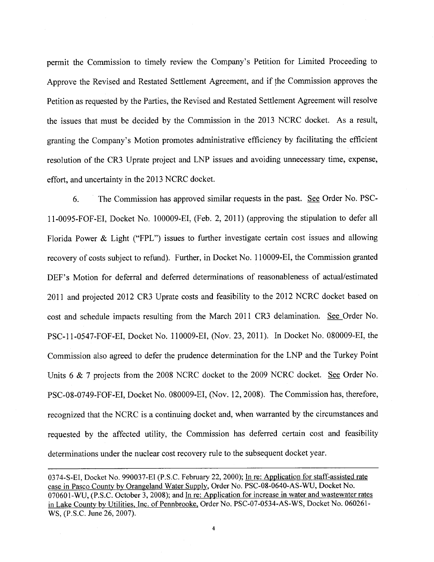permit the Commission to timely review the Company's Petition for Limited Proceeding to Approve the Revised and Restated Settlement Agreement, and if the Commission approves the Petition as requested by the Parties, the Revised and Restated Settlement Agreement will resolve the issues that must be decided by the Commission in the 2013 NCRC docket. As a result, granting the Company's Motion promotes administrative efficiency by facilitating the efficient resolution of the CR3 Uprate project and LNP issues and avoiding unnecessary time, expense, effort, and uncertainty in the 2013 NCRC docket.

6. The Commission has approved similar requests in the past. See Order No. PSC-11-0095-FOF-EI, Docket No. 100009-EI, (Feb. 2, 2011) (approving the stipulation to defer all Florida Power & Light ("FPL") issues to further investigate certain cost issues and allowing recovery of costs subject to refund). Further, in Docket No. 110009-EI, the Commission granted DEF's Motion for deferral and deferred determinations of reasonableness of actual/estimated <sup>2011</sup>and projected 2012 CR3 Uprate costs and feasibility to the 2012 NCRC docket based on cost and schedule impacts resulting from the March 2011 CR3 delamination. See Order No. PSC-11-0547-FOF-EI, Docket No. 110009-EI, (Nov. 23, 2011). In Docket No. 080009-EI, the Commission also agreed to defer the prudence determination for the LNP and the Turkey Point Units 6 & 7 projects from the 2008 NCRC docket to the 2009 NCRC docket. See Order No. PSC-08-0749-FOF-EI, Docket No. 080009-EI, (Nov. 12, 2008). The Commission has, therefore, recognized that the NCRC is a continuing docket and, when warranted by the circumstances and requested by the affected utility, the Commission has deferred certain cost and feasibility determinations under the nuclear cost recovery rule to the subsequent docket year.

<sup>0374-</sup>S-EI, Docket No. 990037-EI (P.S.C. February 22, 2000); In re: Application for staff-assisted rate case in Pasco County by Orangeland Water Supply, Order No. PSC-08-0640-AS-WU, Docket No. 070601-WU, (P.S.C. October 3, 2008); and In re: Application for increase in water and wastewater rates in Lake County by Utilities, Inc. of Pennbrooke, Order No. PSC-07 -0534-AS-WS, Docket No. 060261- WS, (P.S.C. June 26, 2007).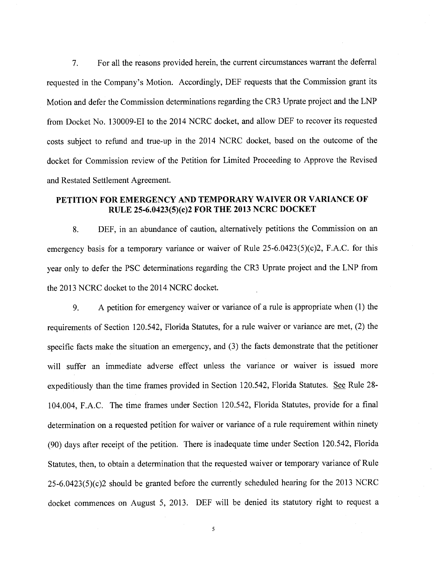7. For all the reasons provided herein, the current circumstances warrant the deferral requested in the Company's Motion. Accordingly, DEF requests that the Commission grant its Motion and defer the Commission determinations regarding the CR3 Uprate project and the LNP from Docket No. 130009-EI to the 2014 NCRC docket, and allow DEF to recover its requested costs subject to refund and true-up in the 2014 NCRC docket, based on the outcome of the docket for Commission review of the Petition for Limited Proceeding to Approve the Revised and Restated Settlement Agreement.

# **PETITION FOR EMERGENCY AND TEMPORARY WAIVER OR VARIANCE OF RULE 25-6.0423(5)(c)2 FOR THE 2013 NCRC DOCKET**

8. DEF, in an abundance of caution, alternatively petitions the Commission on an emergency basis for a temporary variance or waiver of Rule  $25-6.0423(5)(c)2$ , F.A.C. for this year only to defer the PSC determinations regarding the CR3 Uprate project and the LNP from the 2013 NCRC docket to the 2014 NCRC docket.

9. A petition for emergency waiver or variance of a rule is appropriate when (1) the requirements of Section 120.542, Florida Statutes, for a rule waiver or variance are met, (2) the specific facts make the situation an emergency, and (3) the facts demonstrate that the petitioner will suffer an immediate adverse effect unless the variance or waiver is issued more expeditiously than the time frames provided in Section 120.542, Florida Statutes. See Rule 28-104.004, F.A.C. The time frames under Section 120.542, Florida Statutes, provide for a final determination on a requested petition for waiver or variance of a rule requirement within ninety (90) days after receipt of the petition. There is inadequate time under Section 120.542, Florida Statutes, then, to obtain a determination that the requested waiver or temporary variance of Rule  $25-6.0423(5)(c)$  should be granted before the currently scheduled hearing for the 2013 NCRC docket commences on August 5, 2013. DEF will be denied its statutory right to request a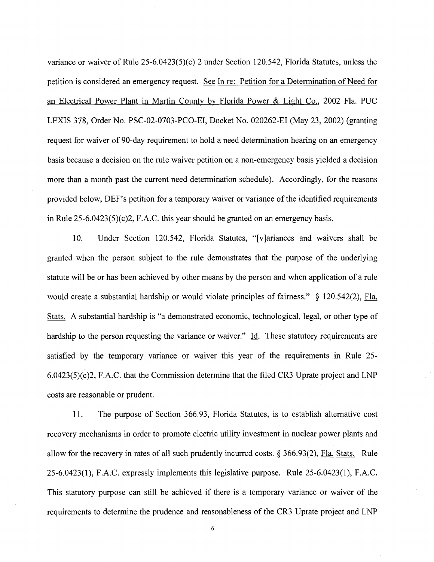variance or waiver of Rule 25-6.0423(5)(c) 2 under Section 120.542, Florida Statutes, unless the petition is considered an emergency request. See In re: Petition for a Determination of Need for an Electrical Power Plant in Martin County by Florida Power & Light Co., 2002 Fla. PUC LEXIS 378, Order No. PSC-02-0703-PCO-EI, Docket No. 020262-EI (May 23, 2002) (granting request for waiver of 90-day requirement to hold a need determination hearing on an emergency basis because a decision on the rule waiver petition on a non-emergency basis yielded a decision more than a month past the current need determination schedule). Accordingly, for the reasons provided below, DEF's petition for a temporary waiver or variance of the identified requirements in Rule 25-6.0423(5)(c)2, F.A.C. this year should be granted on an emergency basis.

10. Under Section 120.542, Florida Statutes, "[v]ariances and waivers shall be granted when the person subject to the rule demonstrates that the purpose of the underlying statute will be or has been achieved by other means by the person and when application of a rule would create a substantial hardship or would violate principles of fairness." *§* 120.542(2), Fla. Stats. A substantial hardship is "a demonstrated economic, technological, legal, or other type of hardship to the person requesting the variance or waiver." Id. These statutory requirements are satisfied by the temporary variance or waiver this year of the requirements in Rule 25- 6.0423(5)(c)2, F.A.C. that the Commission determine that the filed CR3 Uprate project and LNP costs are reasonable or prudent.

11. The purpose of Section 366.93, Florida Statutes, is to establish alternative cost recovery mechanisms in order to promote electric utility investment in nuclear power plants and allow for the recovery in rates of all such prudently incurred costs. § 366.93(2), Fla. Stats. Rule 25-6.0423(1), F.A.C. expressly implements this legislative purpose. Rule 25-6.0423(1), F.A.C. This statutory purpose can still be achieved if there is a temporary variance or waiver of the requirements to determine the prudence and reasonableness of the CR3 Uprate project and LNP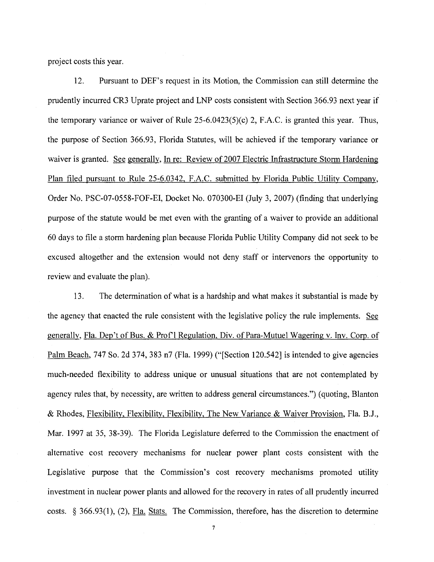project costs this year.

12. Pursuant to DEF's request in its Motion, the Commission can still determine the prudently incurred CR3 Uprate project and LNP costs consistent with Section 366.93 next year if the temporary variance or waiver of Rule 25-6.0423(5)(c) 2, F.A.C. is granted this year. Thus, the purpose of Section 366.93, Florida Statutes, will be achieved if the temporary variance or waiver is granted. See generally, In re: Review of 2007 Electric Infrastructure Storm Hardening Plan filed pursuant to Rule 25-6.0342, F.A.C. submitted by Florida Public Utility Company, Order No. PSC-07-0558-FOF-EI, Docket No. 070300-EI (July 3, 2007) (finding that underlying purpose of the statute would be met even with the granting of a waiver to provide an additional 60 days to file a storm hardening plan because Florida Public Utility Company did not seek to be excused altogether and the extension would not deny staff or intervenors the opportunity to review and evaluate the plan).

13. The determination of what is a hardship and what makes it substantial is made by the agency that enacted the rule consistent with the legislative policy the rule implements. See generally, Fla. Dep't of Bus. & Prof'l Regulation, Div. of Para-Mutuel Wagering v. Inv. Corp. of Palm Beach, 747 So. 2d 374, 383 n7 (Fla. 1999) ("[Section 120.542] is intended to give agencies much-needed flexibility to address unique or unusual situations that are not contemplated by agency rules that, by necessity, are written to address general circumstances.") (quoting, Blanton & Rhodes, Flexibility, Flexibility, Flexibility, The New Variance & Waiver Provision, Fla. B.J., Mar. 1997 at 35, 38-39). The Florida Legislature deferred to the Commission the enactment of alternative cost recovery mechanisms for nuclear power plant costs consistent with the Legislative purpose that the Commission's cost recovery mechanisms promoted utility investment in nuclear power plants and allowed for the recovery in rates of all prudently incurred costs.  $\S$  366.93(1), (2), Fla. Stats. The Commission, therefore, has the discretion to determine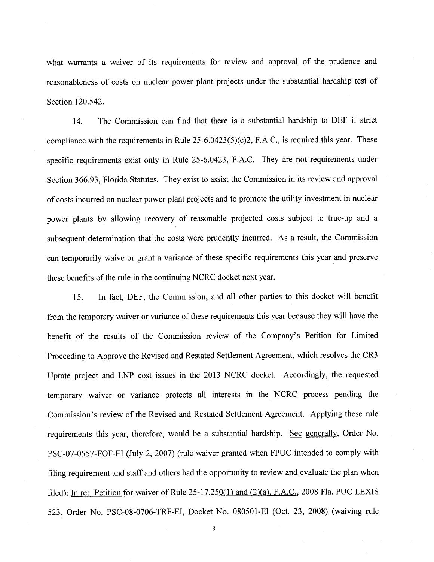what warrants a waiver of its requirements for review and approval of the prudence and reasonableness of costs on nuclear power plant projects under the substantial hardship test of Section 120.542.

14. The Commission can find that there is a substantial hardship to DEF if strict compliance with the requirements in Rule  $25-6.0423(5)(c)2$ , F.A.C., is required this year. These specific requirements exist only in Rule 25-6.0423, F.A.C. They are not requirements under Section 366.93, Florida Statutes. They exist to assist the Commission in its review and approval of costs incurred on nuclear power plant projects and to promote the utility investment in nuclear power plants by allowing recovery of reasonable projected costs subject to true-up and a subsequent determination that the costs were prudently incurred. As a result, the Commission can temporarily waive or grant a variance of these specific requirements this year and preserve these benefits of the rule in the continuing NCRC docket next year.

15. In fact, DEF, the Commission, and all other parties to this docket will benefit from the temporary waiver or variance of these requirements this year because they will have the benefit of the results of the Commission review of the Company's Petition for Limited Proceeding to Approve the Revised and Restated Settlement Agreement, which resolves the CR3 Uprate project and LNP cost issues in the 2013 NCRC docket. Accordingly, the requested temporary waiver or variance protects all interests in the NCRC process pending the Commission's review of the Revised and Restated Settlement Agreement. Applying these rule requirements this year, therefore, would be a substantial hardship. See generally, Order No. PSC-07-0557-FOF-EI (July 2, 2007) (rule waiver granted when FPUC intended to comply with filing requirement and staff and others had the opportunity to review and evaluate the plan when filed); In re: Petition for waiver of Rule  $25-17.250(1)$  and  $(2)(a)$ , F.A.C., 2008 Fla. PUC LEXIS 523, Order No. PSC-08-0706-TRF-EI, Docket No. 080501-EI (Oct. 23, 2008) (waiving rule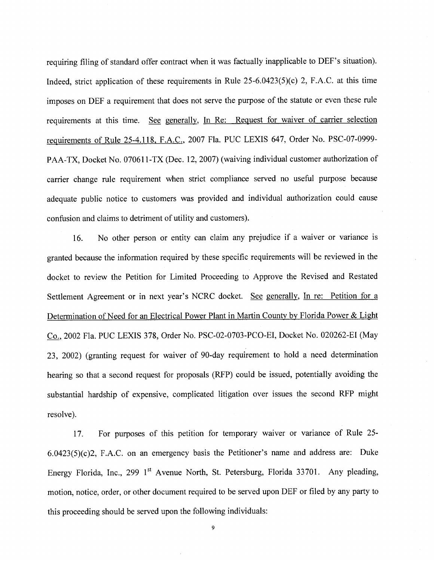requiring filing of standard offer contract when it was factually inapplicable to DEF's situation). Indeed, strict application of these requirements in Rule 25-6.0423(5)(c) 2, F.A.C. at this time imposes on DEF a requirement that does not serve the purpose of the statute or even these rule requirements at this time. See generally, In Re: Request for waiver of carrier selection requirements of Rule 25-4.118, F.A.C., 2007 Fla. PUC LEXIS 647, Order No. PSC-07-0999- PAA-TX, Docket No. 070611-TX (Dec. 12, 2007) (waiving individual customer authorization of carrier change rule requirement when strict compliance served no useful purpose because adequate public notice to customers was provided and individual authorization could cause confusion and claims to detriment of utility and customers).

16. No other person or entity can claim any prejudice if a waiver or variance is granted because the information required by these specific requirements will be reviewed in the docket to review the Petition for Limited Proceeding to Approve the Revised and Restated Settlement Agreement or in next year's NCRC docket. See generally, In re: Petition for a Determination of Need for an Electrical Power Plant in Martin County by Florida Power & Light Co., 2002 Fla. PUC LEXIS 378, Order No. PSC-02-0703-PCO-EI, Docket No. 020262-EI (May 23, 2002) (granting request for waiver of 90-day requirement to hold a need determination hearing so that a second request for proposals (RFP) could be issued, potentially avoiding the substantial hardship of expensive, complicated litigation over issues the second RFP might resolve).

17. For purposes of this petition for temporary waiver or variance of Rule 25-6.0423(5)(c)2, F.A.C. on an emergency basis the Petitioner's name and address are: Duke Energy Florida, Inc., 299 1<sup>st</sup> Avenue North, St. Petersburg, Florida 33701. Any pleading, motion, notice, order, or other document required to be served upon DEF or filed by any party to this proceeding should be served upon the following individuals: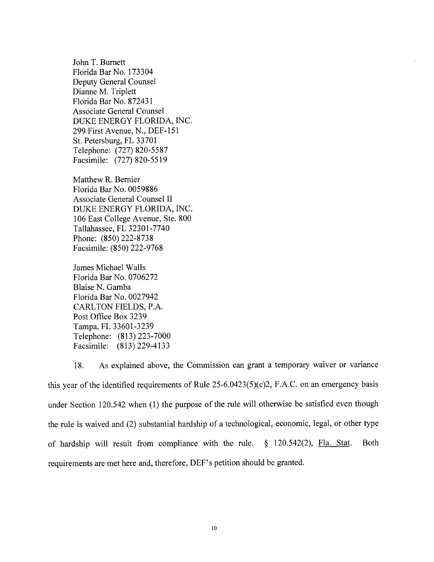John T. Burnett Florida Bar No. 173304 Deputy General Counsel Dianne M. Triplett Florida Bar No. 872431 Associate General Counsel DUKE ENERGY FLORIDA, INC. 299 First Avenue, N., DEF-151 St. Petersburg, FL 33701 Telephone: (727) 820-5587 Facsimile: (727) 820-5519

Matthew R. Bernier Florida Bar No. 0059886 Associate General Counsel II DUKE ENERGY FLORIDA, INC. 106 East College A venue, Ste. 800 Tallahassee, FL 32301-7740 Phone: (850) 222-8738 Facsimile: (850) 222-9768

James Michael Walls Florida Bar No. 0706272 Blaise N. Gamba Florida Bar No. 0027942 CARL TON FIELDS, P.A. Post Office Box 3239 Tampa, FL 33601-3239 Telephone: (813) 223-7000 Facsimile: (813) 229-4133

18. As explained above, the Commission can grant a temporary waiver or variance this year of the identified requirements of Rule 25-6.0423(5)(c)2, F.A.C. on an emergency basis under Section 120.542 when (1) the purpose of the rule will otherwise be satisfied even though the rule is waived and (2) substantial hardship of a technological, economic, legal, or other type of hardship will result from compliance with the rule. § 120.542(2), Fla. Stat. Both requirements are met here and, therefore, DEF's petition should be granted.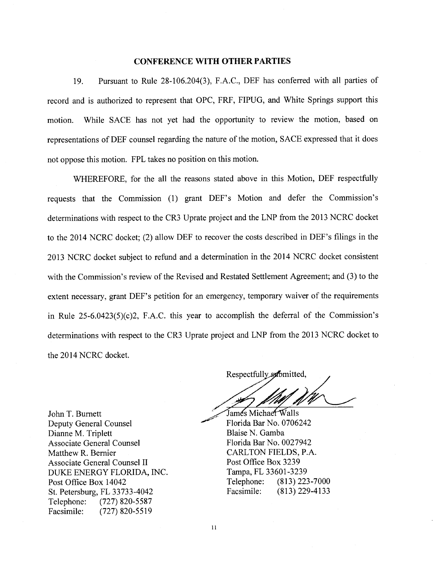#### **CONFERENCE WITH OTHER PARTIES**

19. Pursuant to Rule 28-106.204(3), F.A.C., DEF has conferred with all parties of record and is authorized to represent that OPC, FRF, FIPUG, and White Springs support this motion. While SACE has not yet had the opportunity to review the motion, based on representations of DEF counsel regarding the nature of the motion, SACE expressed that it does not oppose this motion. FPL takes no position on this motion.

WHEREFORE, for the all the reasons stated above in this Motion, DEF respectfully requests that the Commission (1) grant DEF's Motion and defer the Commission's determinations with respect to the CR3 Uprate project and the LNP from the 2013 NCRC docket to the 2014 NCRC docket; (2) allow DEF to recover the costs described in DEF's filings in the 2013 NCRC docket subject to refund and a determination in the 2014 NCRC docket consistent with the Commission's review of the Revised and Restated Settlement Agreement; and (3) to the extent necessary, grant DEF's petition for an emergency, temporary waiver of the requirements in Rule 25-6.0423(5)(c)2, F.A.C. this year to accomplish the deferral of the Commission's determinations with respect to the CR3 Uprate project and LNP from the 2013 NCRC docket to the 2014 NCRC docket.

Respectfully submitted,

Jamés Michae<del>l W</del>alls Florida Bar No. 0706242 Blaise N. Gamba Florida Bar No. 0027942 CARLTON FIELDS, P.A. Post Office Box 3239 Tampa, FL 33601-3239 Telephone: (813) 223-7000 Facsimile: (813) 229-4133

John T. Burnett Deputy General Counsel Dianne M. Triplett Associate General Counsel Matthew R. Bernier Associate General Counsel II DUKE ENERGY FLORIDA, INC. Post Office Box 14042 St. Petersburg, FL 33733-4042 Telephone: (727) 820-5587 Facsimile: (727) 820-5519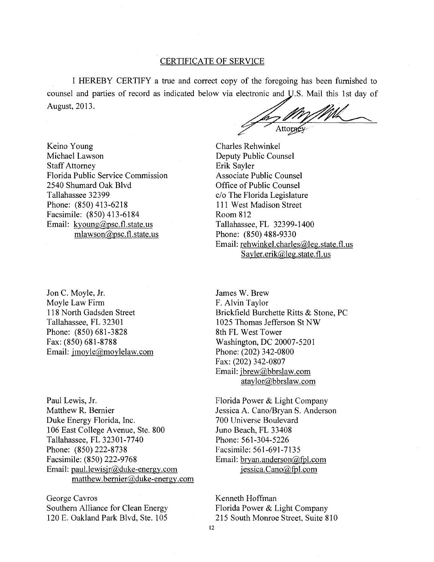#### CERTIFICATE OF SERVICE

I HEREBY CERTIFY a true and correct copy of the foregoing has been furnished to counsel and parties of record as indicated below via electronic and U.S. Mail this 1st day of August, 2013.

Attorné

Keino Young Michael Lawson Staff Attorney Florida Public Service Commission 2540 Shumard Oak Blvd Tallahassee 32399 Phone: (850) 413-6218 Facsimile: (850) 413-6184 Email: kyoung@psc.fl.state.us mlawson@psc.fl.state.us

Jon C. Moyle, Jr. Moyle Law Firm 118 North Gadsden Street Tallahassee, FL 32301 Phone: (850) 681-3828 Fax: (850) 681-8788 Email: jmoyle@moylelaw.com

Paul Lewis, Jr. Matthew R. Bernier Duke Energy Florida, Inc. 1 06 East College A venue, Ste. 800 Tallahassee, FL 32301-7740 Phone: (850) 222-8738 Facsimile: (850) 222-9768 Email: paul.lewisjr@duke-energy.com matthew.bernier@duke-energy.com

George Cavros Southern Alliance for Clean Energy 120 E. Oakland Park Blvd, Ste. 105

Charles Rehwinkel Deputy Public Counsel Erik Sayler Associate Public Counsel Office of Public Counsel c/o The Florida Legislature 111 West Madison Street Room 812 Tallahassee, FL 32399-1400 Phone: (850) 488-9330 Email: rehwinkel.charles@leg.state.fl.us Sayler.erik@leg.state.fl.us

James W. Brew F. Alvin Taylor Brickfield Burchette Ritts & Stone, PC 1025 Thomas Jefferson St NW 8th FL West Tower Washington, DC 20007-5201 Phone: (202) 342-0800 Fax: (202) 342-0807 Email: jbrew@bbrslaw.com ataylor@bbrslaw.com

Florida Power & Light Company Jessica A. Cano/Bryan S. Anderson 700 Universe Boulevard Juno Beach, FL 33408 Phone: 561-304-5226 Facsimile: 561-691-7135 Email: bryan.anderson(@,fpl.com  $i$ essica. Cano $@$ fpl.com

Kenneth Hoffman Florida Power & Light Company 215 South Momoe Street, Suite 810